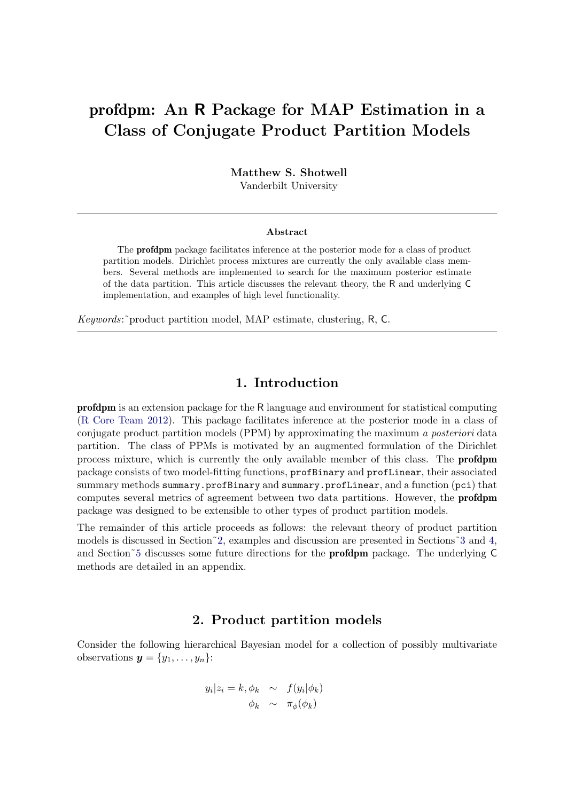# profdpm: An R Package for MAP Estimation in a Class of Conjugate Product Partition Models

Matthew S. Shotwell Vanderbilt University

#### Abstract

The profdpm package facilitates inference at the posterior mode for a class of product partition models. Dirichlet process mixtures are currently the only available class members. Several methods are implemented to search for the maximum posterior estimate of the data partition. This article discusses the relevant theory, the R and underlying C implementation, and examples of high level functionality.

Keywords:˜product partition model, MAP estimate, clustering, R, C.

# 1. Introduction

profdpm is an extension package for the R language and environment for statistical computing [\(R Core Team](#page-17-0) [2012\)](#page-17-0). This package facilitates inference at the posterior mode in a class of conjugate product partition models (PPM) by approximating the maximum a posteriori data partition. The class of PPMs is motivated by an augmented formulation of the Dirichlet process mixture, which is currently the only available member of this class. The profdpm package consists of two model-fitting functions, profBinary and profLinear, their associated summary methods summary.profBinary and summary.profLinear, and a function (pci) that computes several metrics of agreement between two data partitions. However, the profdpm package was designed to be extensible to other types of product partition models.

The remainder of this article proceeds as follows: the relevant theory of product partition models is discussed in Section[˜2,](#page-0-0) examples and discussion are presented in Sections[˜3](#page-4-0) and [4,](#page-9-0) and Section[˜5](#page-12-0) discusses some future directions for the profdpm package. The underlying C methods are detailed in an appendix.

# 2. Product partition models

<span id="page-0-0"></span>Consider the following hierarchical Bayesian model for a collection of possibly multivariate observations  $y = \{y_1, \ldots, y_n\}$ :

<span id="page-0-1"></span>
$$
y_i|z_i = k, \phi_k \sim f(y_i|\phi_k)
$$
  

$$
\phi_k \sim \pi_\phi(\phi_k)
$$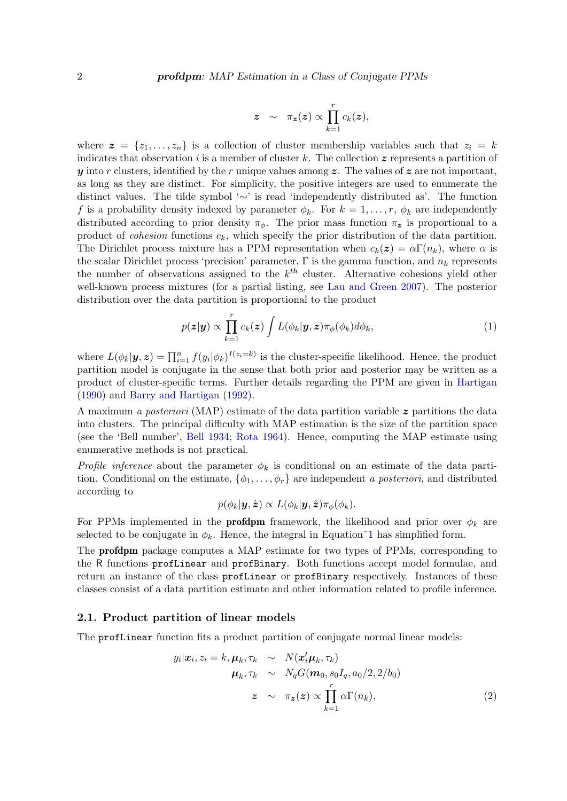$$
z \sim \pi_{\bm{z}}(\bm{z}) \propto \prod_{k=1}^r c_k(\bm{z}),
$$

where  $\boldsymbol{z} = \{z_1, \ldots, z_n\}$  is a collection of cluster membership variables such that  $z_i = k$ indicates that observation i is a member of cluster k. The collection  $z$  represents a partition of y into r clusters, identified by the r unique values among  $z$ . The values of  $z$  are not important, as long as they are distinct. For simplicity, the positive integers are used to enumerate the distinct values. The tilde symbol '∼' is read 'independently distributed as'. The function f is a probability density indexed by parameter  $\phi_k$ . For  $k = 1, \ldots, r, \phi_k$  are independently distributed according to prior density  $\pi_{\phi}$ . The prior mass function  $\pi_{\mathbf{z}}$  is proportional to a product of *cohesion* functions  $c_k$ , which specify the prior distribution of the data partition. The Dirichlet process mixture has a PPM representation when  $c_k(z) = \alpha \Gamma(n_k)$ , where  $\alpha$  is the scalar Dirichlet process 'precision' parameter,  $\Gamma$  is the gamma function, and  $n_k$  represents the number of observations assigned to the  $k^{th}$  cluster. Alternative cohesions yield other well-known process mixtures (for a partial listing, see [Lau and Green](#page-17-1) [2007\)](#page-17-1). The posterior distribution over the data partition is proportional to the product

$$
p(\boldsymbol{z}|\boldsymbol{y}) \propto \prod_{k=1}^{r} c_k(\boldsymbol{z}) \int L(\phi_k|\boldsymbol{y}, \boldsymbol{z}) \pi_{\phi}(\phi_k) d\phi_k, \qquad (1)
$$

where  $L(\phi_k|\mathbf{y}, \mathbf{z}) = \prod_{i=1}^n f(y_i|\phi_k)^{I(z_i=k)}$  is the cluster-specific likelihood. Hence, the product partition model is conjugate in the sense that both prior and posterior may be written as a product of cluster-specific terms. Further details regarding the PPM are given in [Hartigan](#page-17-2) [\(1990\)](#page-17-2) and [Barry and Hartigan](#page-16-0) [\(1992\)](#page-16-0).

A maximum a posteriori (MAP) estimate of the data partition variable  $z$  partitions the data into clusters. The principal difficulty with MAP estimation is the size of the partition space (see the 'Bell number', [Bell](#page-16-1) [1934;](#page-16-1) [Rota](#page-17-3) [1964\)](#page-17-3). Hence, computing the MAP estimate using enumerative methods is not practical.

Profile inference about the parameter  $\phi_k$  is conditional on an estimate of the data partition. Conditional on the estimate,  $\{\phi_1, \ldots, \phi_r\}$  are independent a posteriori, and distributed according to

$$
p(\phi_k|\boldsymbol{y},\hat{\boldsymbol{z}}) \propto L(\phi_k|\boldsymbol{y},\hat{\boldsymbol{z}})\pi_{\phi}(\phi_k).
$$

For PPMs implemented in the **profdpm** framework, the likelihood and prior over  $\phi_k$  are selected to be conjugate in  $\phi_k$ . Hence, the integral in Equation~1 has simplified form.

The profdpm package computes a MAP estimate for two types of PPMs, corresponding to the R functions profLinear and profBinary. Both functions accept model formulae, and return an instance of the class profLinear or profBinary respectively. Instances of these classes consist of a data partition estimate and other information related to profile inference.

## 2.1. Product partition of linear models

The profLinear function fits a product partition of conjugate normal linear models:

$$
y_i|\boldsymbol{x}_i, z_i = k, \boldsymbol{\mu}_k, \tau_k \sim N(\boldsymbol{x}_i' \boldsymbol{\mu}_k, \tau_k)
$$
  

$$
\boldsymbol{\mu}_k, \tau_k \sim N_q G(\boldsymbol{m}_0, s_0 I_q, a_0/2, 2/b_0)
$$
  

$$
z \sim \tau_{\boldsymbol{z}}(\boldsymbol{z}) \propto \prod_{k=1}^r \alpha \Gamma(n_k),
$$
 (2)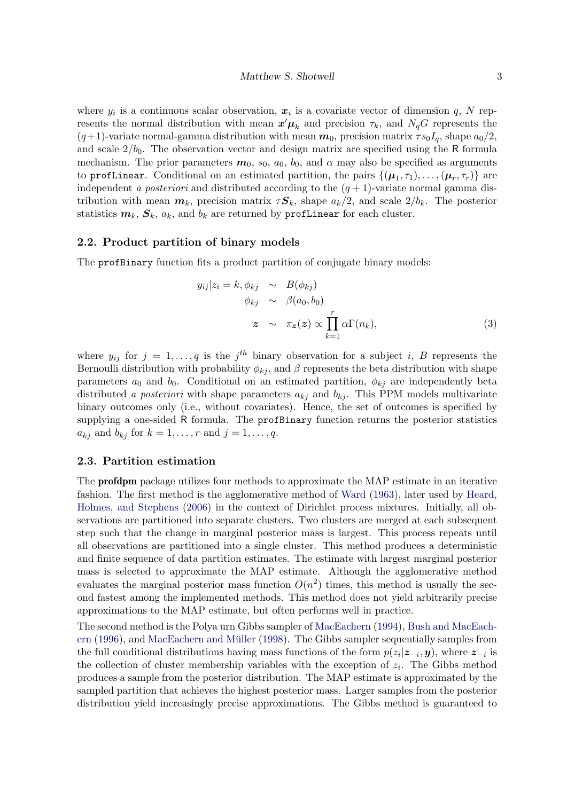where  $y_i$  is a continuous scalar observation,  $x_i$  is a covariate vector of dimension q, N represents the normal distribution with mean  $x'\mu_k$  and precision  $\tau_k$ , and  $N_qG$  represents the  $(q+1)$ -variate normal-gamma distribution with mean  $m_0$ , precision matrix  $\tau s_0I_q$ , shape  $a_0/2$ , and scale  $2/b_0$ . The observation vector and design matrix are specified using the R formula mechanism. The prior parameters  $m_0$ ,  $s_0$ ,  $a_0$ ,  $b_0$ , and  $\alpha$  may also be specified as arguments to profLinear. Conditional on an estimated partition, the pairs  $\{(\mu_1, \tau_1), \ldots, (\mu_r, \tau_r)\}$  are independent a posteriori and distributed according to the  $(q + 1)$ -variate normal gamma distribution with mean  $m_k$ , precision matrix  $\tau S_k$ , shape  $a_k/2$ , and scale  $2/b_k$ . The posterior statistics  $m_k$ ,  $S_k$ ,  $a_k$ , and  $b_k$  are returned by profLinear for each cluster.

#### 2.2. Product partition of binary models

The profBinary function fits a product partition of conjugate binary models:

$$
y_{ij}|z_i = k, \phi_{kj} \sim B(\phi_{kj})
$$
  
\n
$$
\phi_{kj} \sim \beta(a_0, b_0)
$$
  
\n
$$
z \sim \pi_z(z) \propto \prod_{k=1}^r \alpha \Gamma(n_k),
$$
\n(3)

where  $y_{ij}$  for  $j = 1, \ldots, q$  is the  $j^{th}$  binary observation for a subject i, B represents the Bernoulli distribution with probability  $\phi_{kj}$ , and  $\beta$  represents the beta distribution with shape parameters  $a_0$  and  $b_0$ . Conditional on an estimated partition,  $\phi_{kj}$  are independently beta distributed a posteriori with shape parameters  $a_{kj}$  and  $b_{kj}$ . This PPM models multivariate binary outcomes only (i.e., without covariates). Hence, the set of outcomes is specified by supplying a one-sided R formula. The profBinary function returns the posterior statistics  $a_{kj}$  and  $b_{kj}$  for  $k = 1, \ldots, r$  and  $j = 1, \ldots, q$ .

#### 2.3. Partition estimation

The profdpm package utilizes four methods to approximate the MAP estimate in an iterative fashion. The first method is the agglomerative method of [Ward](#page-17-4) [\(1963\)](#page-17-4), later used by [Heard,](#page-17-5) [Holmes, and Stephens](#page-17-5) [\(2006\)](#page-17-5) in the context of Dirichlet process mixtures. Initially, all observations are partitioned into separate clusters. Two clusters are merged at each subsequent step such that the change in marginal posterior mass is largest. This process repeats until all observations are partitioned into a single cluster. This method produces a deterministic and finite sequence of data partition estimates. The estimate with largest marginal posterior mass is selected to approximate the MAP estimate. Although the agglomerative method evaluates the marginal posterior mass function  $O(n^2)$  times, this method is usually the second fastest among the implemented methods. This method does not yield arbitrarily precise approximations to the MAP estimate, but often performs well in practice.

The second method is the Polya urn Gibbs sampler of [MacEachern](#page-17-6) [\(1994\)](#page-17-6), [Bush and MacEach-](#page-16-2) $em(1996)$  $em(1996)$ , and MacEach[ern](#page-16-2) and Müller  $(1998)$ . The Gibbs sampler sequentially samples from the full conditional distributions having mass functions of the form  $p(z_i|z_{-i}, y)$ , where  $z_{-i}$  is the collection of cluster membership variables with the exception of  $z_i$ . The Gibbs method produces a sample from the posterior distribution. The MAP estimate is approximated by the sampled partition that achieves the highest posterior mass. Larger samples from the posterior distribution yield increasingly precise approximations. The Gibbs method is guaranteed to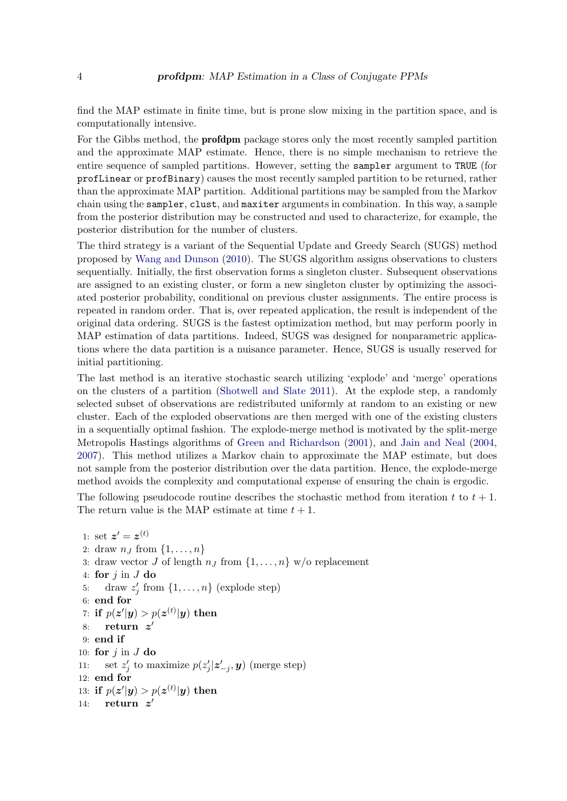find the MAP estimate in finite time, but is prone slow mixing in the partition space, and is computationally intensive.

For the Gibbs method, the profdpm package stores only the most recently sampled partition and the approximate MAP estimate. Hence, there is no simple mechanism to retrieve the entire sequence of sampled partitions. However, setting the sampler argument to TRUE (for profLinear or profBinary) causes the most recently sampled partition to be returned, rather than the approximate MAP partition. Additional partitions may be sampled from the Markov chain using the sampler, clust, and maxiter arguments in combination. In this way, a sample from the posterior distribution may be constructed and used to characterize, for example, the posterior distribution for the number of clusters.

The third strategy is a variant of the Sequential Update and Greedy Search (SUGS) method proposed by [Wang and Dunson](#page-17-8) [\(2010\)](#page-17-8). The SUGS algorithm assigns observations to clusters sequentially. Initially, the first observation forms a singleton cluster. Subsequent observations are assigned to an existing cluster, or form a new singleton cluster by optimizing the associated posterior probability, conditional on previous cluster assignments. The entire process is repeated in random order. That is, over repeated application, the result is independent of the original data ordering. SUGS is the fastest optimization method, but may perform poorly in MAP estimation of data partitions. Indeed, SUGS was designed for nonparametric applications where the data partition is a nuisance parameter. Hence, SUGS is usually reserved for initial partitioning.

The last method is an iterative stochastic search utilizing 'explode' and 'merge' operations on the clusters of a partition [\(Shotwell and Slate](#page-17-9) [2011\)](#page-17-9). At the explode step, a randomly selected subset of observations are redistributed uniformly at random to an existing or new cluster. Each of the exploded observations are then merged with one of the existing clusters in a sequentially optimal fashion. The explode-merge method is motivated by the split-merge Metropolis Hastings algorithms of [Green and Richardson](#page-16-3) [\(2001\)](#page-16-3), and [Jain and Neal](#page-17-10) [\(2004,](#page-17-10) [2007\)](#page-17-11). This method utilizes a Markov chain to approximate the MAP estimate, but does not sample from the posterior distribution over the data partition. Hence, the explode-merge method avoids the complexity and computational expense of ensuring the chain is ergodic.

The following pseudocode routine describes the stochastic method from iteration t to  $t + 1$ . The return value is the MAP estimate at time  $t + 1$ .

```
1: set z' = z^{(t)}2: draw n_l from \{1,\ldots,n\}3: draw vector J of length n_J from \{1, \ldots, n\} w/o replacement
 4: for j in J do
 5: draw z'_j from \{1, \ldots, n\} (explode step)
 6: end for
 7: if p(\boldsymbol{z}'|\boldsymbol{y}) > p(\boldsymbol{z}^{(t)}|\boldsymbol{y}) then
 8: return z'9: end if
10: for j in J do
11: set z'_j to maximize p(z'_j|z'_{-j}, y) (merge step)
12: end for
13: if p(\bm{z}' | \bm{y}) > p(\bm{z}^{(t)} | \bm{y}) then
14: return z'
```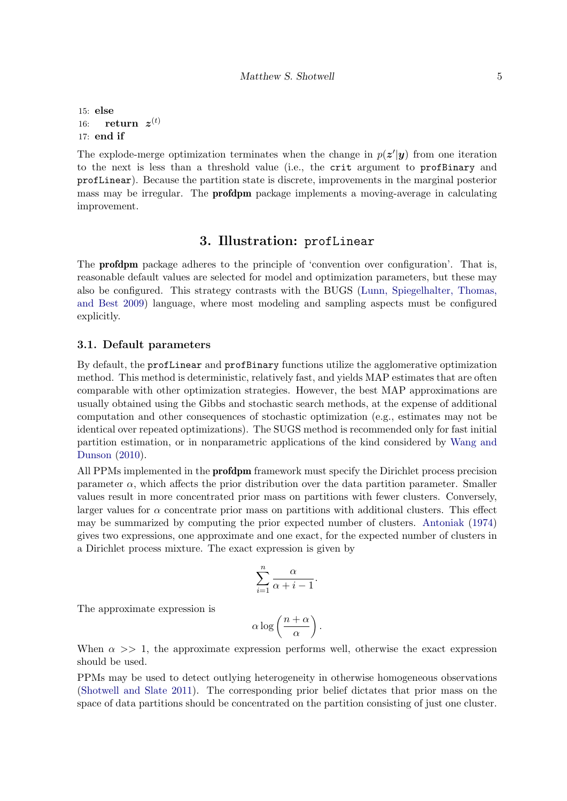15: else  $16: \quad \mathbf{return} \ \ \boldsymbol{z}^{(t)}$ 17: end if

The explode-merge optimization terminates when the change in  $p(z'|\mathbf{y})$  from one iteration to the next is less than a threshold value (i.e., the crit argument to profBinary and profLinear). Because the partition state is discrete, improvements in the marginal posterior mass may be irregular. The profdpm package implements a moving-average in calculating improvement.

# 3. Illustration: profLinear

<span id="page-4-0"></span>The profdpm package adheres to the principle of 'convention over configuration'. That is, reasonable default values are selected for model and optimization parameters, but these may also be configured. This strategy contrasts with the BUGS [\(Lunn, Spiegelhalter, Thomas,](#page-17-12) [and Best](#page-17-12) [2009\)](#page-17-12) language, where most modeling and sampling aspects must be configured explicitly.

## 3.1. Default parameters

By default, the profLinear and profBinary functions utilize the agglomerative optimization method. This method is deterministic, relatively fast, and yields MAP estimates that are often comparable with other optimization strategies. However, the best MAP approximations are usually obtained using the Gibbs and stochastic search methods, at the expense of additional computation and other consequences of stochastic optimization (e.g., estimates may not be identical over repeated optimizations). The SUGS method is recommended only for fast initial partition estimation, or in nonparametric applications of the kind considered by [Wang and](#page-17-8) [Dunson](#page-17-8) [\(2010\)](#page-17-8).

All PPMs implemented in the profdpm framework must specify the Dirichlet process precision parameter  $\alpha$ , which affects the prior distribution over the data partition parameter. Smaller values result in more concentrated prior mass on partitions with fewer clusters. Conversely, larger values for  $\alpha$  concentrate prior mass on partitions with additional clusters. This effect may be summarized by computing the prior expected number of clusters. [Antoniak](#page-16-4) [\(1974\)](#page-16-4) gives two expressions, one approximate and one exact, for the expected number of clusters in a Dirichlet process mixture. The exact expression is given by

$$
\sum_{i=1}^{n} \frac{\alpha}{\alpha + i - 1}.
$$

The approximate expression is

$$
\alpha \log \left(\frac{n+\alpha}{\alpha}\right).
$$

When  $\alpha \gg 1$ , the approximate expression performs well, otherwise the exact expression should be used.

PPMs may be used to detect outlying heterogeneity in otherwise homogeneous observations [\(Shotwell and Slate](#page-17-9) [2011\)](#page-17-9). The corresponding prior belief dictates that prior mass on the space of data partitions should be concentrated on the partition consisting of just one cluster.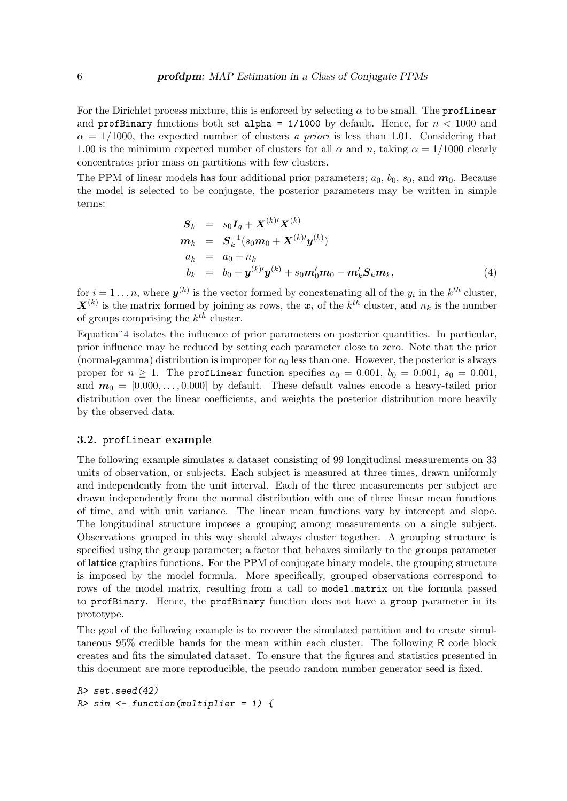For the Dirichlet process mixture, this is enforced by selecting  $\alpha$  to be small. The profLinear and profBinary functions both set alpha =  $1/1000$  by default. Hence, for  $n < 1000$  and  $\alpha = 1/1000$ , the expected number of clusters a priori is less than 1.01. Considering that 1.00 is the minimum expected number of clusters for all  $\alpha$  and n, taking  $\alpha = 1/1000$  clearly concentrates prior mass on partitions with few clusters.

The PPM of linear models has four additional prior parameters;  $a_0$ ,  $b_0$ ,  $s_0$ , and  $m_0$ . Because the model is selected to be conjugate, the posterior parameters may be written in simple terms:

<span id="page-5-0"></span>
$$
S_k = s_0 I_q + X^{(k)'} X^{(k)}
$$
  
\n
$$
m_k = S_k^{-1} (s_0 m_0 + X^{(k)'} y^{(k)})
$$
  
\n
$$
a_k = a_0 + n_k
$$
  
\n
$$
b_k = b_0 + y^{(k)'} y^{(k)} + s_0 m'_0 m_0 - m'_k S_k m_k,
$$
\n(4)

for  $i = 1 \ldots n$ , where  $\mathbf{y}^{(k)}$  is the vector formed by concatenating all of the  $y_i$  in the  $k^{th}$  cluster,  $\mathbf{X}^{(k)}$  is the matrix formed by joining as rows, the  $x_i$  of the  $k^{th}$  cluster, and  $n_k$  is the number of groups comprising the  $k^{th}$  cluster.

Equation<sup> $\tilde{4}$ </sup> isolates the influence of prior parameters on posterior quantities. In particular, prior influence may be reduced by setting each parameter close to zero. Note that the prior (normal-gamma) distribution is improper for  $a_0$  less than one. However, the posterior is always proper for  $n \ge 1$ . The profLinear function specifies  $a_0 = 0.001$ ,  $b_0 = 0.001$ ,  $s_0 = 0.001$ , and  $m_0 = [0.000, \ldots, 0.000]$  by default. These default values encode a heavy-tailed prior distribution over the linear coefficients, and weights the posterior distribution more heavily by the observed data.

#### 3.2. profLinear example

The following example simulates a dataset consisting of 99 longitudinal measurements on 33 units of observation, or subjects. Each subject is measured at three times, drawn uniformly and independently from the unit interval. Each of the three measurements per subject are drawn independently from the normal distribution with one of three linear mean functions of time, and with unit variance. The linear mean functions vary by intercept and slope. The longitudinal structure imposes a grouping among measurements on a single subject. Observations grouped in this way should always cluster together. A grouping structure is specified using the group parameter; a factor that behaves similarly to the groups parameter of lattice graphics functions. For the PPM of conjugate binary models, the grouping structure is imposed by the model formula. More specifically, grouped observations correspond to rows of the model matrix, resulting from a call to model.matrix on the formula passed to profBinary. Hence, the profBinary function does not have a group parameter in its prototype.

The goal of the following example is to recover the simulated partition and to create simultaneous 95% credible bands for the mean within each cluster. The following R code block creates and fits the simulated dataset. To ensure that the figures and statistics presented in this document are more reproducible, the pseudo random number generator seed is fixed.

```
R> set.seed(42)
R> sim <- function(multiplier = 1) {
```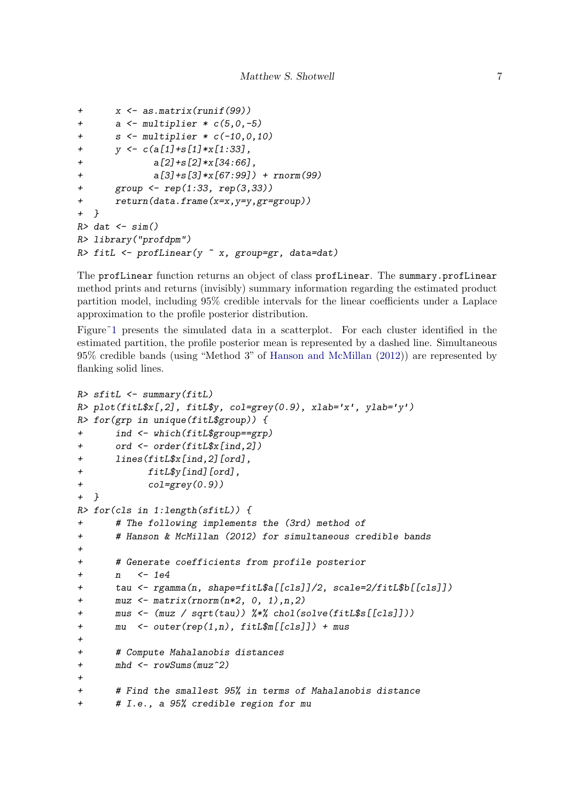```
+ x <- as.matrix(runif(99))
+ a \leftarrow multiplier * c(5, 0, -5)s <- multiplier * c(-10,0,10)y \leftarrow c(a[1]+s[1]*x[1:33],+ a[2]+s[2]*x[34:66],+ a[3]+s[3]*x[67:99]) + rnorm(99)
+ group <- rep(1:33, rep(3,33))
+ return(data.frame(x=x,y=y,gr=group))
+ }
R> dat \leq sim()
R> library("profdpm")
R> fitL \leq profLinear(y \infty x, group=gr, data=dat)
```
The profLinear function returns an object of class profLinear. The summary.profLinear method prints and returns (invisibly) summary information regarding the estimated product partition model, including 95% credible intervals for the linear coefficients under a Laplace approximation to the profile posterior distribution.

Figure<sup> $\in$ 1</sup> presents the simulated data in a scatterplot. For each cluster identified in the estimated partition, the profile posterior mean is represented by a dashed line. Simultaneous 95% credible bands (using "Method 3" of [Hanson and McMillan](#page-16-5) [\(2012\)](#page-16-5)) are represented by flanking solid lines.

```
R> sfitL \leftarrow summary(fitL)
R> plot(fitL$x[,2], fitL$y, col=grey(0.9), xlab='x', ylab='y')
R> for(grp in unique(fitL$group)) {
+ ind <- which(fitL$group==grp)
+ ord <- order(fitL$x[ind,2])
      lines(fitL$x[ind,2][ord],
+ fitL$y[ind][ord],
+ col=grey(0.9))
+ }
R> for(cls in 1:length(sfitL)) {
+ # The following implements the (3rd) method of
+ # Hanson & McMillan (2012) for simultaneous credible bands
\overline{v}+ # Generate coefficients from profile posterior
      n \le -1e4+ tau <- rgamma(n, shape=fitL$a[[cls]]/2, scale=2/fitL$b[[cls]])
+ muz <- matrix(rnorm(n*2, 0, 1),n,2)
+ mus <- (muz / sqrt(tau)) %*% chol(solve(fitL$s[[cls]]))
+ mu <- outer(rep(1,n), fitL$m[[cls]]) + mus
+
+ # Compute Mahalanobis distances
+ mhd <- rowSums(muz^2)
+
+ # Find the smallest 95% in terms of Mahalanobis distance
+ # I.e., a 95% credible region for mu
```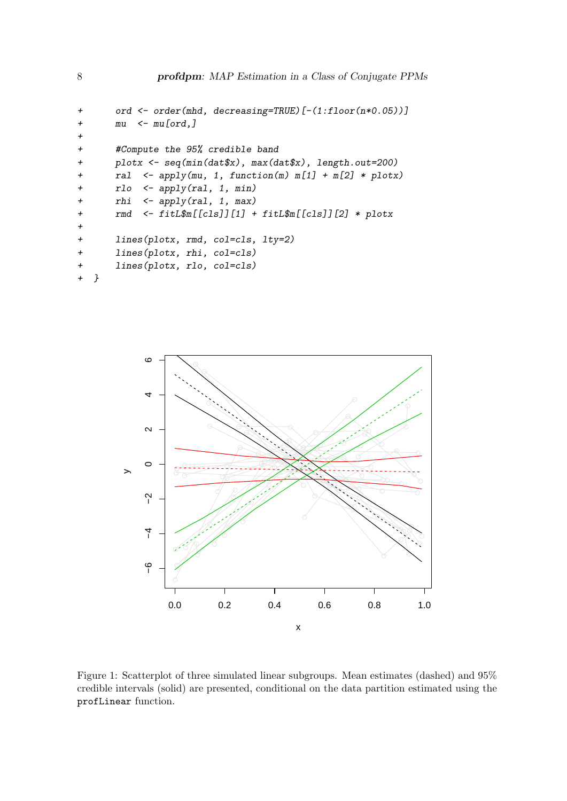```
+ ord <- order(mhd, decreasing=TRUE)[-(1:floor(n*0.05))]
+ mu <- mu[ord,]
+
+ #Compute the 95% credible band
+ plotx <- seq(min(dat$x), max(dat$x), length.out=200)
+ ral <- apply(mu, 1, function(m) m[1] + m[2] * plotx)
+ rlo <- apply(ral, 1, min)
+ rhi <- apply(ral, 1, max)
+ rmd <- fitL$m[[cls]][1] + fitL$m[[cls]][2] * plotx
+
+ lines(plotx, rmd, col=cls, lty=2)
+ lines(plotx, rhi, col=cls)
+ lines(plotx, rlo, col=cls)
+ }
```


<span id="page-7-0"></span>Figure 1: Scatterplot of three simulated linear subgroups. Mean estimates (dashed) and 95% credible intervals (solid) are presented, conditional on the data partition estimated using the profLinear function.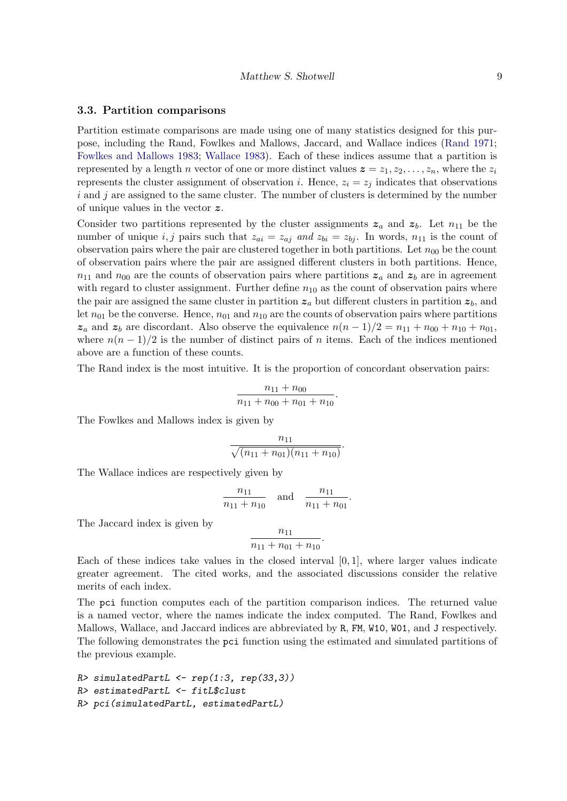#### 3.3. Partition comparisons

Partition estimate comparisons are made using one of many statistics designed for this purpose, including the Rand, Fowlkes and Mallows, Jaccard, and Wallace indices [\(Rand](#page-17-13) [1971;](#page-17-13) [Fowlkes and Mallows](#page-16-6) [1983;](#page-16-6) [Wallace](#page-17-14) [1983\)](#page-17-14). Each of these indices assume that a partition is represented by a length n vector of one or more distinct values  $z = z_1, z_2, \ldots, z_n$ , where the  $z_i$ represents the cluster assignment of observation i. Hence,  $z_i = z_j$  indicates that observations  $i$  and  $j$  are assigned to the same cluster. The number of clusters is determined by the number of unique values in the vector z.

Consider two partitions represented by the cluster assignments  $z_a$  and  $z_b$ . Let  $n_{11}$  be the number of unique i, j pairs such that  $z_{ai} = z_{aj}$  and  $z_{bi} = z_{bj}$ . In words,  $n_{11}$  is the count of observation pairs where the pair are clustered together in both partitions. Let  $n_{00}$  be the count of observation pairs where the pair are assigned different clusters in both partitions. Hence,  $n_{11}$  and  $n_{00}$  are the counts of observation pairs where partitions  $z_a$  and  $z_b$  are in agreement with regard to cluster assignment. Further define  $n_{10}$  as the count of observation pairs where the pair are assigned the same cluster in partition  $z_a$  but different clusters in partition  $z_b$ , and let  $n_{01}$  be the converse. Hence,  $n_{01}$  and  $n_{10}$  are the counts of observation pairs where partitions  $z_a$  and  $z_b$  are discordant. Also observe the equivalence  $n(n-1)/2 = n_{11} + n_{00} + n_{10} + n_{01}$ , where  $n(n-1)/2$  is the number of distinct pairs of n items. Each of the indices mentioned above are a function of these counts.

The Rand index is the most intuitive. It is the proportion of concordant observation pairs:

$$
\frac{n_{11}+n_{00}}{n_{11}+n_{00}+n_{01}+n_{10}}.
$$

The Fowlkes and Mallows index is given by

$$
\frac{n_{11}}{\sqrt{(n_{11}+n_{01})(n_{11}+n_{10})}}.
$$

The Wallace indices are respectively given by

$$
\frac{n_{11}}{n_{11} + n_{10}} \quad \text{and} \quad \frac{n_{11}}{n_{11} + n_{01}}.
$$

The Jaccard index is given by

$$
\frac{n_{11}}{n_{11}+n_{01}+n_{10}}.
$$

Each of these indices take values in the closed interval  $[0, 1]$ , where larger values indicate greater agreement. The cited works, and the associated discussions consider the relative merits of each index.

The pci function computes each of the partition comparison indices. The returned value is a named vector, where the names indicate the index computed. The Rand, Fowlkes and Mallows, Wallace, and Jaccard indices are abbreviated by R, FM, W10, W01, and J respectively. The following demonstrates the pci function using the estimated and simulated partitions of the previous example.

 $R$ > simulatedPartL <- rep(1:3, rep(33,3)) R> estimatedPartL <- fitL\$clust R> pci(simulatedPartL, estimatedPartL)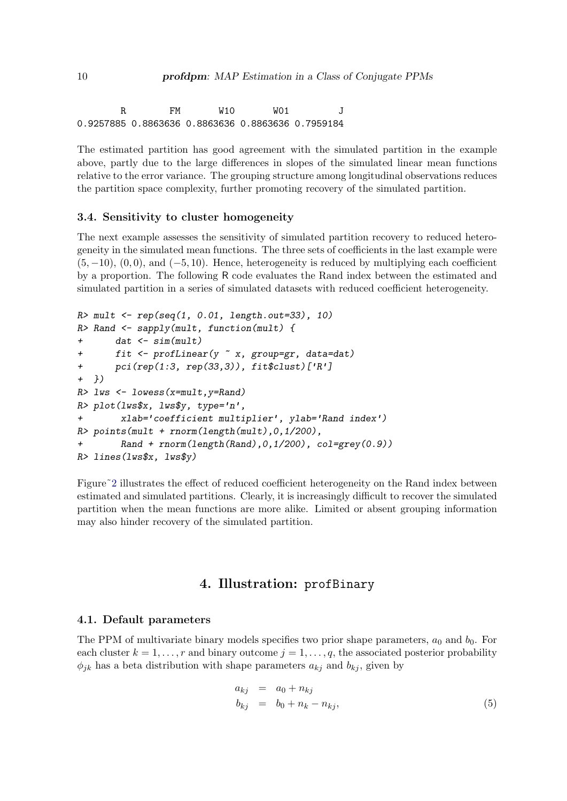R FM W10 W01 J 0.9257885 0.8863636 0.8863636 0.8863636 0.7959184

The estimated partition has good agreement with the simulated partition in the example above, partly due to the large differences in slopes of the simulated linear mean functions relative to the error variance. The grouping structure among longitudinal observations reduces the partition space complexity, further promoting recovery of the simulated partition.

### 3.4. Sensitivity to cluster homogeneity

The next example assesses the sensitivity of simulated partition recovery to reduced heterogeneity in the simulated mean functions. The three sets of coefficients in the last example were  $(5, -10)$ ,  $(0, 0)$ , and  $(-5, 10)$ . Hence, heterogeneity is reduced by multiplying each coefficient by a proportion. The following R code evaluates the Rand index between the estimated and simulated partition in a series of simulated datasets with reduced coefficient heterogeneity.

```
R mult \leftarrow rep(seq(1, 0.01, length.out=33), 10)
R> Rand \leq sapply(mult, function(mult) {
+ dat <- sim(mult)
+ fit <- profLinear(y ~ x, group=gr, data=dat)
+ pci(rep(1:3, rep(33,3)), fit$clust)['R']
+ })
R> lws <- lowess(x=mult,y=Rand)
R> plot(lws$x, lws$y, type='n',
+ xlab='coefficient multiplier', ylab='Rand index')
R> points(mult + rnorm(length(mult),0,1/200),
+ Rand + rnorm(length(Rand),0,1/200), col=grey(0.9))
R> lines(lws$x, lws$y)
```
Figure<sup>~2</sup> illustrates the effect of reduced coefficient heterogeneity on the Rand index between estimated and simulated partitions. Clearly, it is increasingly difficult to recover the simulated partition when the mean functions are more alike. Limited or absent grouping information may also hinder recovery of the simulated partition.

## 4. Illustration: profBinary

## <span id="page-9-0"></span>4.1. Default parameters

The PPM of multivariate binary models specifies two prior shape parameters,  $a_0$  and  $b_0$ . For each cluster  $k = 1, \ldots, r$  and binary outcome  $j = 1, \ldots, q$ , the associated posterior probability  $\phi_{jk}$  has a beta distribution with shape parameters  $a_{kj}$  and  $b_{kj}$ , given by

$$
a_{kj} = a_0 + n_{kj}
$$
  
\n
$$
b_{kj} = b_0 + n_k - n_{kj},
$$
\n(5)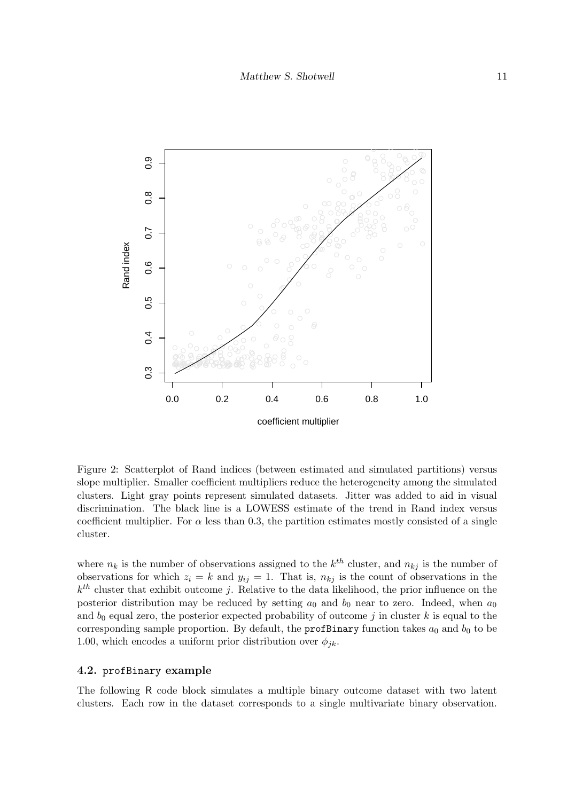

<span id="page-10-0"></span>Figure 2: Scatterplot of Rand indices (between estimated and simulated partitions) versus slope multiplier. Smaller coefficient multipliers reduce the heterogeneity among the simulated clusters. Light gray points represent simulated datasets. Jitter was added to aid in visual discrimination. The black line is a LOWESS estimate of the trend in Rand index versus coefficient multiplier. For  $\alpha$  less than 0.3, the partition estimates mostly consisted of a single cluster.

where  $n_k$  is the number of observations assigned to the  $k^{th}$  cluster, and  $n_{kj}$  is the number of observations for which  $z_i = k$  and  $y_{ij} = 1$ . That is,  $n_{kj}$  is the count of observations in the  $k^{th}$  cluster that exhibit outcome j. Relative to the data likelihood, the prior influence on the posterior distribution may be reduced by setting  $a_0$  and  $b_0$  near to zero. Indeed, when  $a_0$ and  $b_0$  equal zero, the posterior expected probability of outcome j in cluster k is equal to the corresponding sample proportion. By default, the **profBinary** function takes  $a_0$  and  $b_0$  to be 1.00, which encodes a uniform prior distribution over  $\phi_{ik}$ .

## 4.2. profBinary example

The following R code block simulates a multiple binary outcome dataset with two latent clusters. Each row in the dataset corresponds to a single multivariate binary observation.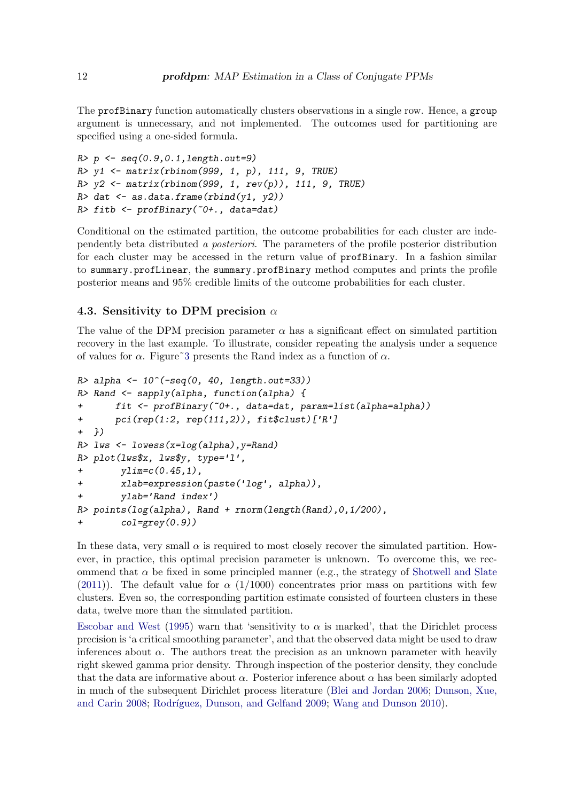The profBinary function automatically clusters observations in a single row. Hence, a group argument is unnecessary, and not implemented. The outcomes used for partitioning are specified using a one-sided formula.

```
R> p <- seq(0.9, 0.1, length.out=9)R> y1 <- matrix(rbinom(999, 1, p), 111, 9, TRUE)
R > y2 <- matrix(rbinom(999, 1, rev(p)), 111, 9, TRUE)
R> dat \leftarrow as.data.frame(rbind(y1, y2))
R> fitb <- profBinary(~0+., data=dat)
```
Conditional on the estimated partition, the outcome probabilities for each cluster are independently beta distributed a posteriori. The parameters of the profile posterior distribution for each cluster may be accessed in the return value of profBinary. In a fashion similar to summary.profLinear, the summary.profBinary method computes and prints the profile posterior means and 95% credible limits of the outcome probabilities for each cluster.

## 4.3. Sensitivity to DPM precision  $\alpha$

The value of the DPM precision parameter  $\alpha$  has a significant effect on simulated partition recovery in the last example. To illustrate, consider repeating the analysis under a sequence of values for  $\alpha$ . Figure<sup>3</sup> presents the Rand index as a function of  $\alpha$ .

```
R> alpha <- 10^(-seq(0, 40, length.out=33))
R> Rand <- sapply(alpha, function(alpha) {
+ fit <- profBinary(~0+., data=dat, param=list(alpha=alpha))
+ pci(rep(1:2, rep(111,2)), fit$clust)['R']
+ })
R> lws <- lowess(x=log(alpha), y=Rand)
R> plot(lws$x, lws$y, type='l',
+ ylim=c(0.45,1),
+ xlab=expression(paste('log', alpha)),
+ ylab='Rand index')
R> points(log(alpha), Rand + rnorm(length(Rand),0,1/200),
       col=grey(0.9))
```
In these data, very small  $\alpha$  is required to most closely recover the simulated partition. However, in practice, this optimal precision parameter is unknown. To overcome this, we recommend that  $\alpha$  be fixed in some principled manner (e.g., the strategy of [Shotwell and Slate](#page-17-9) [\(2011\)](#page-17-9)). The default value for  $\alpha$  (1/1000) concentrates prior mass on partitions with few clusters. Even so, the corresponding partition estimate consisted of fourteen clusters in these data, twelve more than the simulated partition.

[Escobar and West](#page-16-7) [\(1995\)](#page-16-7) warn that 'sensitivity to  $\alpha$  is marked', that the Dirichlet process precision is 'a critical smoothing parameter', and that the observed data might be used to draw inferences about  $\alpha$ . The authors treat the precision as an unknown parameter with heavily right skewed gamma prior density. Through inspection of the posterior density, they conclude that the data are informative about  $\alpha$ . Posterior inference about  $\alpha$  has been similarly adopted in much of the subsequent Dirichlet process literature [\(Blei and Jordan](#page-16-8) [2006;](#page-16-8) [Dunson, Xue,](#page-16-9) [and Carin](#page-16-9) [2008;](#page-16-9) Rodríguez, Dunson, and Gelfand [2009;](#page-17-15) [Wang and Dunson](#page-17-8) [2010\)](#page-17-8).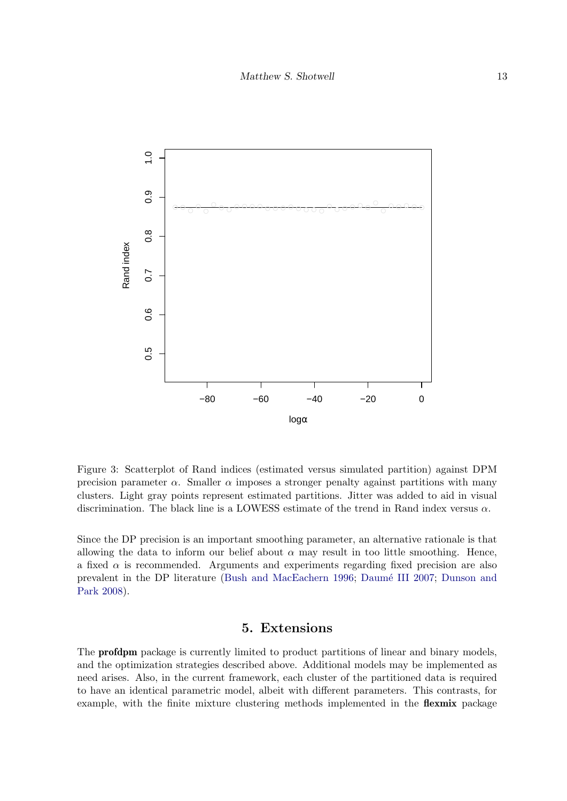

<span id="page-12-1"></span>Figure 3: Scatterplot of Rand indices (estimated versus simulated partition) against DPM precision parameter  $\alpha$ . Smaller  $\alpha$  imposes a stronger penalty against partitions with many clusters. Light gray points represent estimated partitions. Jitter was added to aid in visual discrimination. The black line is a LOWESS estimate of the trend in Rand index versus  $\alpha$ .

Since the DP precision is an important smoothing parameter, an alternative rationale is that allowing the data to inform our belief about  $\alpha$  may result in too little smoothing. Hence, a fixed  $\alpha$  is recommended. Arguments and experiments regarding fixed precision are also prevalent in the DP literature [\(Bush and MacEachern](#page-16-2) [1996;](#page-16-2) Daumé III [2007;](#page-16-10) [Dunson and](#page-16-11) [Park](#page-16-11) [2008\)](#page-16-11).

# 5. Extensions

<span id="page-12-0"></span>The profdpm package is currently limited to product partitions of linear and binary models, and the optimization strategies described above. Additional models may be implemented as need arises. Also, in the current framework, each cluster of the partitioned data is required to have an identical parametric model, albeit with different parameters. This contrasts, for example, with the finite mixture clustering methods implemented in the **flexmix** package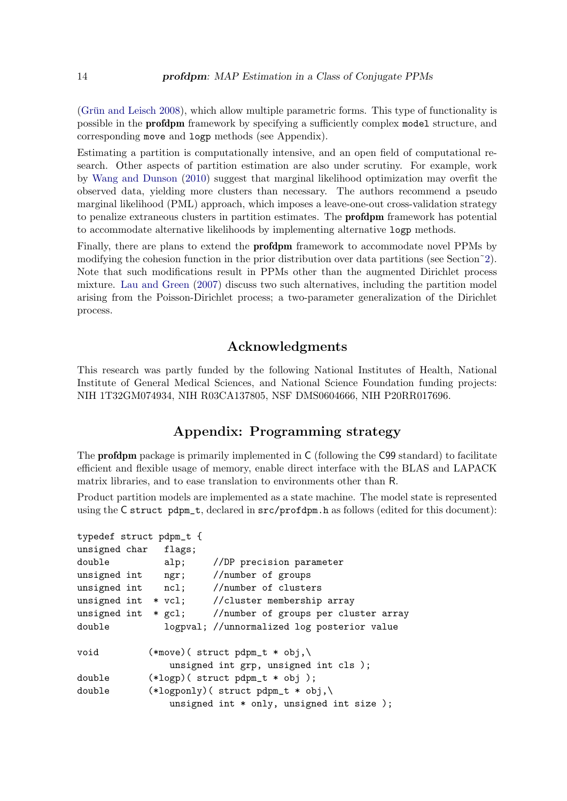(Grün and Leisch [2008\)](#page-16-12), which allow multiple parametric forms. This type of functionality is possible in the profdpm framework by specifying a sufficiently complex model structure, and corresponding move and logp methods (see Appendix).

Estimating a partition is computationally intensive, and an open field of computational research. Other aspects of partition estimation are also under scrutiny. For example, work by [Wang and Dunson](#page-17-8) [\(2010\)](#page-17-8) suggest that marginal likelihood optimization may overfit the observed data, yielding more clusters than necessary. The authors recommend a pseudo marginal likelihood (PML) approach, which imposes a leave-one-out cross-validation strategy to penalize extraneous clusters in partition estimates. The profdpm framework has potential to accommodate alternative likelihoods by implementing alternative logp methods.

Finally, there are plans to extend the profdpm framework to accommodate novel PPMs by modifying the cohesion function in the prior distribution over data partitions (see Section[˜2\)](#page-0-0). Note that such modifications result in PPMs other than the augmented Dirichlet process mixture. [Lau and Green](#page-17-1) [\(2007\)](#page-17-1) discuss two such alternatives, including the partition model arising from the Poisson-Dirichlet process; a two-parameter generalization of the Dirichlet process.

# Acknowledgments

This research was partly funded by the following National Institutes of Health, National Institute of General Medical Sciences, and National Science Foundation funding projects: NIH 1T32GM074934, NIH R03CA137805, NSF DMS0604666, NIH P20RR017696.

# Appendix: Programming strategy

The profdpm package is primarily implemented in C (following the C99 standard) to facilitate efficient and flexible usage of memory, enable direct interface with the BLAS and LAPACK matrix libraries, and to ease translation to environments other than R.

Product partition models are implemented as a state machine. The model state is represented using the C struct pdpm\_t, declared in src/profdpm.h as follows (edited for this document):

```
typedef struct pdpm_t {
unsigned char flags;
double alp; //DP precision parameter
unsigned int ngr; //number of groups
unsigned int ncl; //number of clusters
unsigned int * vcl; //cluster membership array
unsigned int * gcl; //number of groups per cluster array
double logpval; //unnormalized log posterior value
void (*move)( struct pdpm_t * obj,\
               unsigned int grp, unsigned int cls );
double (*logp)( struct pdpm_t * obj );
double (*logponly)( struct pdpm_t * obj,\
               unsigned int * only, unsigned int size );
```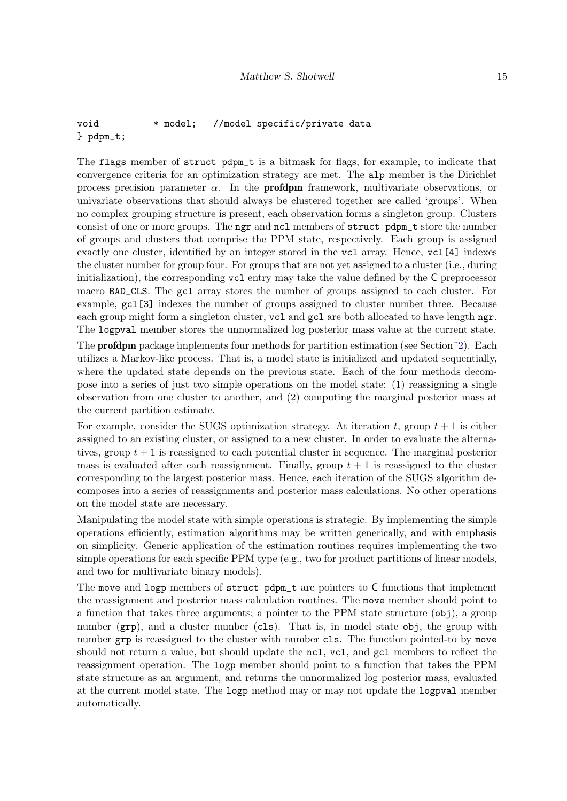## void \* model; //model specific/private data } pdpm\_t;

The flags member of struct pdpm\_t is a bitmask for flags, for example, to indicate that convergence criteria for an optimization strategy are met. The alp member is the Dirichlet process precision parameter  $\alpha$ . In the **profdpm** framework, multivariate observations, or univariate observations that should always be clustered together are called 'groups'. When no complex grouping structure is present, each observation forms a singleton group. Clusters consist of one or more groups. The ngr and ncl members of struct pdpm\_t store the number of groups and clusters that comprise the PPM state, respectively. Each group is assigned exactly one cluster, identified by an integer stored in the vcl array. Hence, vcl[4] indexes the cluster number for group four. For groups that are not yet assigned to a cluster (i.e., during initialization), the corresponding vcl entry may take the value defined by the C preprocessor macro BAD\_CLS. The gcl array stores the number of groups assigned to each cluster. For example, gcl[3] indexes the number of groups assigned to cluster number three. Because each group might form a singleton cluster, vcl and gcl are both allocated to have length ngr. The logpval member stores the unnormalized log posterior mass value at the current state.

The profdpm package implements four methods for partition estimation (see Section[˜2\)](#page-0-0). Each utilizes a Markov-like process. That is, a model state is initialized and updated sequentially, where the updated state depends on the previous state. Each of the four methods decompose into a series of just two simple operations on the model state: (1) reassigning a single observation from one cluster to another, and (2) computing the marginal posterior mass at the current partition estimate.

For example, consider the SUGS optimization strategy. At iteration t, group  $t + 1$  is either assigned to an existing cluster, or assigned to a new cluster. In order to evaluate the alternatives, group  $t + 1$  is reassigned to each potential cluster in sequence. The marginal posterior mass is evaluated after each reassignment. Finally, group  $t + 1$  is reassigned to the cluster corresponding to the largest posterior mass. Hence, each iteration of the SUGS algorithm decomposes into a series of reassignments and posterior mass calculations. No other operations on the model state are necessary.

Manipulating the model state with simple operations is strategic. By implementing the simple operations efficiently, estimation algorithms may be written generically, and with emphasis on simplicity. Generic application of the estimation routines requires implementing the two simple operations for each specific PPM type (e.g., two for product partitions of linear models, and two for multivariate binary models).

The move and logp members of struct pdpm<sub>\_t</sub> are pointers to C functions that implement the reassignment and posterior mass calculation routines. The move member should point to a function that takes three arguments; a pointer to the PPM state structure (obj), a group number  $(qrp)$ , and a cluster number (cls). That is, in model state obj, the group with number grp is reassigned to the cluster with number cls. The function pointed-to by move should not return a value, but should update the ncl, vcl, and gcl members to reflect the reassignment operation. The logp member should point to a function that takes the PPM state structure as an argument, and returns the unnormalized log posterior mass, evaluated at the current model state. The logp method may or may not update the logpval member automatically.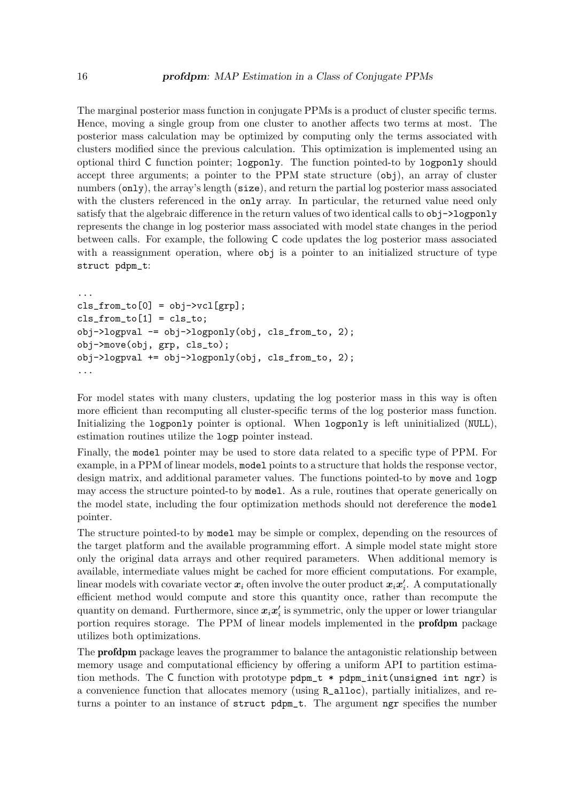The marginal posterior mass function in conjugate PPMs is a product of cluster specific terms. Hence, moving a single group from one cluster to another affects two terms at most. The posterior mass calculation may be optimized by computing only the terms associated with clusters modified since the previous calculation. This optimization is implemented using an optional third C function pointer; logponly. The function pointed-to by logponly should accept three arguments; a pointer to the PPM state structure (obj), an array of cluster numbers (only), the array's length (size), and return the partial log posterior mass associated with the clusters referenced in the only array. In particular, the returned value need only satisfy that the algebraic difference in the return values of two identical calls to  $obj\rightarrow\text{logponly}$ represents the change in log posterior mass associated with model state changes in the period between calls. For example, the following C code updates the log posterior mass associated with a reassignment operation, where  $\delta$  is a pointer to an initialized structure of type struct pdpm\_t:

```
...
cls\_from_to[0] = obj->vcl[grp];cls\_from_to[1] = cls_to;obj->logpval -= obj->logponly(obj, cls_from_to, 2);
obj->move(obj, grp, cls_to);
obj->logpval += obj->logponly(obj, cls_from_to, 2);
...
```
For model states with many clusters, updating the log posterior mass in this way is often more efficient than recomputing all cluster-specific terms of the log posterior mass function. Initializing the logponly pointer is optional. When logponly is left uninitialized (NULL), estimation routines utilize the logp pointer instead.

Finally, the model pointer may be used to store data related to a specific type of PPM. For example, in a PPM of linear models, model points to a structure that holds the response vector, design matrix, and additional parameter values. The functions pointed-to by move and logp may access the structure pointed-to by model. As a rule, routines that operate generically on the model state, including the four optimization methods should not dereference the model pointer.

The structure pointed-to by model may be simple or complex, depending on the resources of the target platform and the available programming effort. A simple model state might store only the original data arrays and other required parameters. When additional memory is available, intermediate values might be cached for more efficient computations. For example, linear models with covariate vector  $\boldsymbol{x}_i$  often involve the outer product  $\boldsymbol{x}_i\boldsymbol{x}_i'$ . A computationally efficient method would compute and store this quantity once, rather than recompute the quantity on demand. Furthermore, since  $x_i x_i'$  is symmetric, only the upper or lower triangular portion requires storage. The PPM of linear models implemented in the profdpm package utilizes both optimizations.

The profdpm package leaves the programmer to balance the antagonistic relationship between memory usage and computational efficiency by offering a uniform API to partition estimation methods. The C function with prototype  $pdpm_t \star pdpm_l$  init(unsigned int ngr) is a convenience function that allocates memory (using R\_alloc), partially initializes, and returns a pointer to an instance of struct pdpm\_t. The argument ngr specifies the number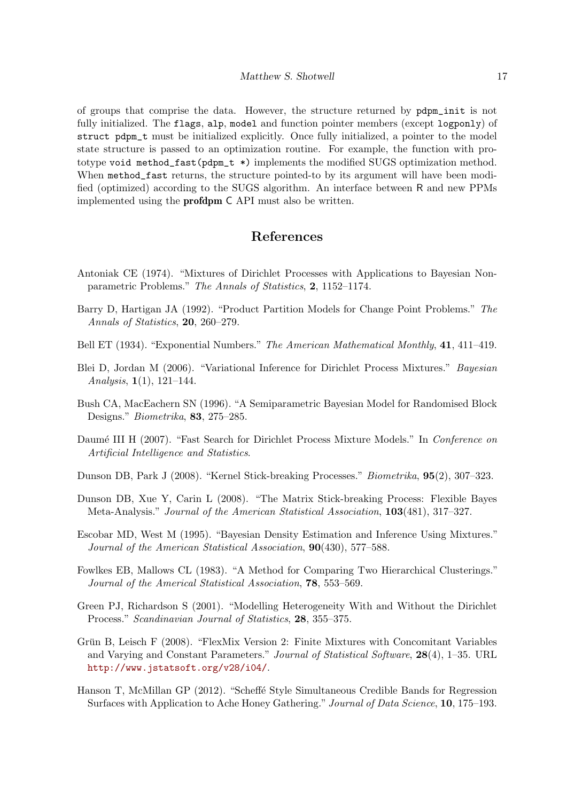of groups that comprise the data. However, the structure returned by pdpm\_init is not fully initialized. The flags, alp, model and function pointer members (except logponly) of struct pdpm\_t must be initialized explicitly. Once fully initialized, a pointer to the model state structure is passed to an optimization routine. For example, the function with prototype void method  $fast(pdpm_t * )$  implements the modified SUGS optimization method. When method\_fast returns, the structure pointed-to by its argument will have been modified (optimized) according to the SUGS algorithm. An interface between R and new PPMs implemented using the profdpm C API must also be written.

# References

- <span id="page-16-4"></span>Antoniak CE (1974). "Mixtures of Dirichlet Processes with Applications to Bayesian Nonparametric Problems." The Annals of Statistics, 2, 1152–1174.
- <span id="page-16-0"></span>Barry D, Hartigan JA (1992). "Product Partition Models for Change Point Problems." The Annals of Statistics, 20, 260–279.
- <span id="page-16-1"></span>Bell ET (1934). "Exponential Numbers." The American Mathematical Monthly, 41, 411–419.
- <span id="page-16-8"></span>Blei D, Jordan M (2006). "Variational Inference for Dirichlet Process Mixtures." Bayesian Analysis,  $1(1)$ ,  $121-144$ .
- <span id="page-16-2"></span>Bush CA, MacEachern SN (1996). "A Semiparametric Bayesian Model for Randomised Block Designs." Biometrika, 83, 275–285.
- <span id="page-16-10"></span>Daumé III H (2007). "Fast Search for Dirichlet Process Mixture Models." In Conference on Artificial Intelligence and Statistics.
- <span id="page-16-11"></span>Dunson DB, Park J (2008). "Kernel Stick-breaking Processes." Biometrika, 95(2), 307–323.
- <span id="page-16-9"></span>Dunson DB, Xue Y, Carin L (2008). "The Matrix Stick-breaking Process: Flexible Bayes Meta-Analysis." Journal of the American Statistical Association, 103(481), 317–327.
- <span id="page-16-7"></span>Escobar MD, West M (1995). "Bayesian Density Estimation and Inference Using Mixtures." Journal of the American Statistical Association, 90(430), 577–588.
- <span id="page-16-6"></span>Fowlkes EB, Mallows CL (1983). "A Method for Comparing Two Hierarchical Clusterings." Journal of the Americal Statistical Association, 78, 553–569.
- <span id="page-16-3"></span>Green PJ, Richardson S (2001). "Modelling Heterogeneity With and Without the Dirichlet Process." Scandinavian Journal of Statistics, 28, 355–375.
- <span id="page-16-12"></span>Grün B, Leisch F (2008). "FlexMix Version 2: Finite Mixtures with Concomitant Variables and Varying and Constant Parameters." Journal of Statistical Software, 28(4), 1–35. URL <http://www.jstatsoft.org/v28/i04/>.
- <span id="page-16-5"></span>Hanson T, McMillan GP (2012). "Scheffe Style Simultaneous Credible Bands for Regression Surfaces with Application to Ache Honey Gathering." Journal of Data Science, 10, 175–193.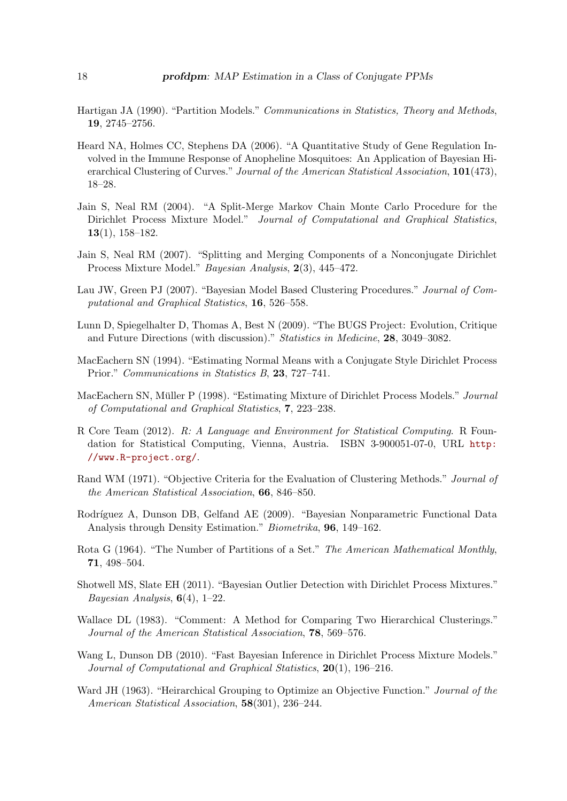- <span id="page-17-2"></span>Hartigan JA (1990). "Partition Models." Communications in Statistics, Theory and Methods, 19, 2745–2756.
- <span id="page-17-5"></span>Heard NA, Holmes CC, Stephens DA (2006). "A Quantitative Study of Gene Regulation Involved in the Immune Response of Anopheline Mosquitoes: An Application of Bayesian Hierarchical Clustering of Curves." Journal of the American Statistical Association, 101(473), 18–28.
- <span id="page-17-10"></span>Jain S, Neal RM (2004). "A Split-Merge Markov Chain Monte Carlo Procedure for the Dirichlet Process Mixture Model." Journal of Computational and Graphical Statistics, 13(1), 158–182.
- <span id="page-17-11"></span>Jain S, Neal RM (2007). "Splitting and Merging Components of a Nonconjugate Dirichlet Process Mixture Model." Bayesian Analysis, 2(3), 445–472.
- <span id="page-17-1"></span>Lau JW, Green PJ (2007). "Bayesian Model Based Clustering Procedures." Journal of Computational and Graphical Statistics, 16, 526–558.
- <span id="page-17-12"></span>Lunn D, Spiegelhalter D, Thomas A, Best N (2009). "The BUGS Project: Evolution, Critique and Future Directions (with discussion)." Statistics in Medicine, 28, 3049–3082.
- <span id="page-17-6"></span>MacEachern SN (1994). "Estimating Normal Means with a Conjugate Style Dirichlet Process Prior." Communications in Statistics B, 23, 727–741.
- <span id="page-17-7"></span>MacEachern SN, Müller P (1998). "Estimating Mixture of Dirichlet Process Models." Journal of Computational and Graphical Statistics, 7, 223–238.
- <span id="page-17-0"></span>R Core Team (2012). R: A Language and Environment for Statistical Computing. R Foundation for Statistical Computing, Vienna, Austria. ISBN 3-900051-07-0, URL [http:](http://www.R-project.org/) [//www.R-project.org/](http://www.R-project.org/).
- <span id="page-17-13"></span>Rand WM (1971). "Objective Criteria for the Evaluation of Clustering Methods." Journal of the American Statistical Association, 66, 846–850.
- <span id="page-17-15"></span>Rodríguez A, Dunson DB, Gelfand AE (2009). "Bayesian Nonparametric Functional Data Analysis through Density Estimation." Biometrika, 96, 149–162.
- <span id="page-17-3"></span>Rota G (1964). "The Number of Partitions of a Set." The American Mathematical Monthly, 71, 498–504.
- <span id="page-17-9"></span>Shotwell MS, Slate EH (2011). "Bayesian Outlier Detection with Dirichlet Process Mixtures." Bayesian Analysis,  $6(4)$ , 1–22.
- <span id="page-17-14"></span>Wallace DL (1983). "Comment: A Method for Comparing Two Hierarchical Clusterings." Journal of the American Statistical Association, 78, 569–576.
- <span id="page-17-8"></span>Wang L, Dunson DB (2010). "Fast Bayesian Inference in Dirichlet Process Mixture Models." Journal of Computational and Graphical Statistics, 20(1), 196–216.
- <span id="page-17-4"></span>Ward JH (1963). "Heirarchical Grouping to Optimize an Objective Function." Journal of the American Statistical Association, 58(301), 236–244.